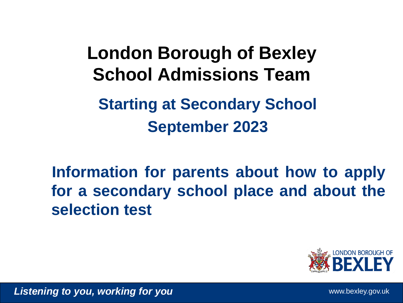**Starting at Secondary School September 2023 London Borough of Bexley School Admissions Team**

**Information for parents about how to apply for a secondary school place and about the selection test**

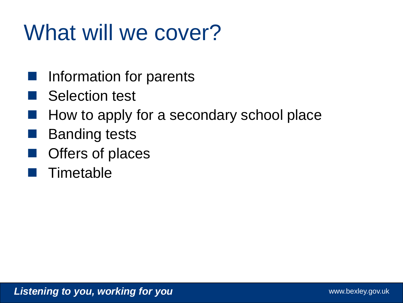# What will we cover?

- Information for parents
- Selection test
- How to apply for a secondary school place
- Banding tests
- Offers of places
- Timetable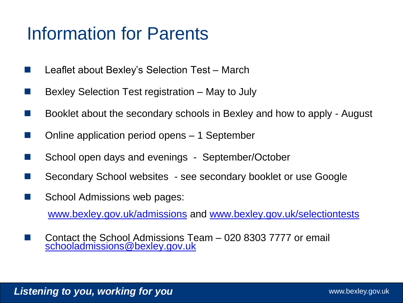#### Information for Parents

- Leaflet about Bexley's Selection Test March
- Bexley Selection Test registration May to July
- Booklet about the secondary schools in Bexley and how to apply August
- Online application period opens 1 September
- School open days and evenings September/October
- Secondary School websites see secondary booklet or use Google
- School Admissions web pages:

[www.bexley.gov.uk/admissions](http://www.bexley.gov.uk/admissions) and [www.bexley.gov.uk/selectiontests](http://www.bexley.gov.uk/selectiontests)

 Contact the School Admissions Team – 020 8303 7777 or email [schooladmissions@bexley.gov.uk](mailto:schooladmissions@bexley.gov.uk)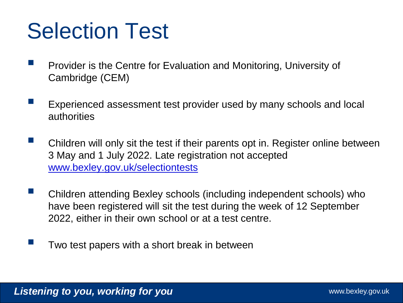## Selection Test

- Provider is the Centre for Evaluation and Monitoring, University of Cambridge (CEM)
- Experienced assessment test provider used by many schools and local authorities
- Children will only sit the test if their parents opt in. Register online between 3 May and 1 July 2022. Late registration not accepted [www.bexley.gov.uk/selectiontests](http://www.bexley.gov.uk/selectiontests)
- **E** Children attending Bexley schools (including independent schools) who have been registered will sit the test during the week of 12 September 2022, either in their own school or at a test centre.
	- Two test papers with a short break in between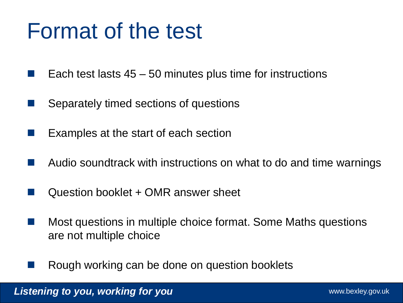#### Format of the test

- Each test lasts 45 50 minutes plus time for instructions
- Separately timed sections of questions
- Examples at the start of each section
- Audio soundtrack with instructions on what to do and time warnings
- Question booklet + OMR answer sheet
- **Most questions in multiple choice format. Some Maths questions** are not multiple choice
- Rough working can be done on question booklets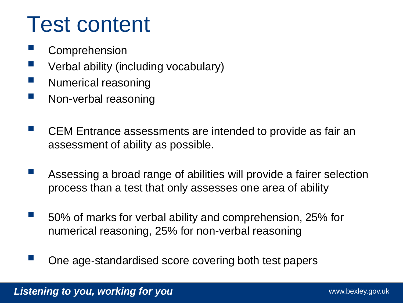## Test content

- Comprehension
- **U** Verbal ability (including vocabulary)
- **Numerical reasoning**
- **Non-verbal reasoning**
- **E** CEM Entrance assessments are intended to provide as fair an assessment of ability as possible.
- Assessing a broad range of abilities will provide a fairer selection process than a test that only assesses one area of ability
- 50% of marks for verbal ability and comprehension, 25% for numerical reasoning, 25% for non-verbal reasoning
- One age-standardised score covering both test papers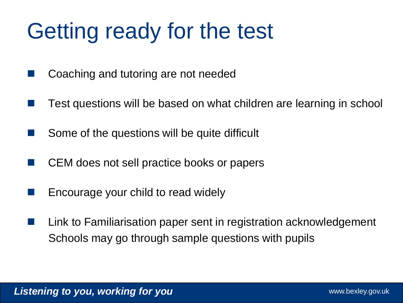# Getting ready for the test

- Coaching and tutoring are not needed
- Test questions will be based on what children are learning in school
- Some of the questions will be quite difficult
- CEM does not sell practice books or papers
- Encourage your child to read widely
- **Link to Familiarisation paper sent in registration acknowledgement** Schools may go through sample questions with pupils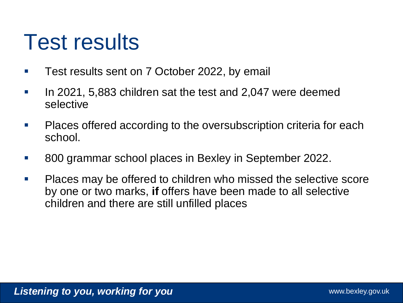### Test results

- Test results sent on 7 October 2022, by email
- **If Let 2021, 5,883 children sat the test and 2,047 were deemed** selective
- **Places offered according to the oversubscription criteria for each** school.
- 800 grammar school places in Bexley in September 2022.
- Places may be offered to children who missed the selective score by one or two marks, **if** offers have been made to all selective children and there are still unfilled places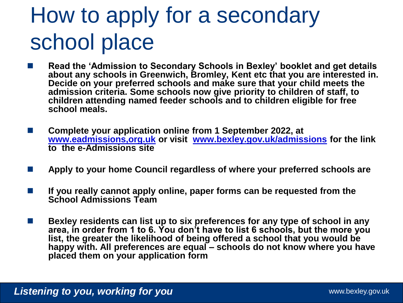# How to apply for a secondary school place

- **Read the 'Admission to Secondary Schools in Bexley' booklet and get details about any schools in Greenwich, Bromley, Kent etc that you are interested in. Decide on your preferred schools and make sure that your child meets the admission criteria. Some schools now give priority to children of staff, to children attending named feeder schools and to children eligible for free school meals.**
- Complete your application online from 1 September 2022, at **[www.eadmissions,org.uk](http://www.eadmissions,org.uk/) or visit [www.bexley.gov.uk/admissions](http://www.bexley.gov.uk/admissions) for the link to the e-Admissions site**
- **Apply to your home Council regardless of where your preferred schools are**
- **If you really cannot apply online, paper forms can be requested from the School Admissions Team**
- **Bexley residents can list up to six preferences for any type of school in any area, in order from 1 to 6. You don't have to list 6 schools, but the more you list, the greater the likelihood of being offered a school that you would be happy with. All preferences are equal – schools do not know where you have placed them on your application form**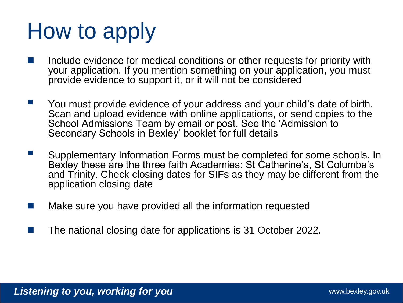# How to apply

- Include evidence for medical conditions or other requests for priority with your application. If you mention something on your application, you must provide evidence to support it, or it will not be considered
- **The You must provide evidence of your address and your child's date of birth.** Scan and upload evidence with online applications, or send copies to the School Admissions Team by email or post. See the 'Admission to Secondary Schools in Bexley' booklet for full details
- **E** Supplementary Information Forms must be completed for some schools. In Bexley these are the three faith Academies: St Catherine's, St Columba's and Trinity. Check closing dates for SIFs as they may be different from the application closing date
- Make sure you have provided all the information requested
- The national closing date for applications is 31 October 2022.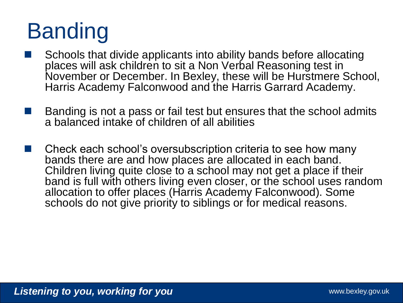# Banding

- Schools that divide applicants into ability bands before allocating places will ask children to sit a Non Verbal Reasoning test in November or December. In Bexley, these will be Hurstmere School, Harris Academy Falconwood and the Harris Garrard Academy.
- Banding is not a pass or fail test but ensures that the school admits a balanced intake of children of all abilities
- Check each school's oversubscription criteria to see how many bands there are and how places are allocated in each band. Children living quite close to a school may not get a place if their band is full with others living even closer, or the school uses random allocation to offer places (Harris Academy Falconwood). Some schools do not give priority to siblings or for medical reasons.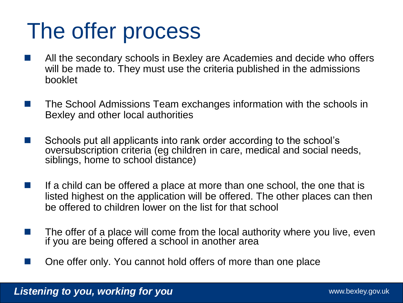## The offer process

- All the secondary schools in Bexley are Academies and decide who offers will be made to. They must use the criteria published in the admissions booklet
- The School Admissions Team exchanges information with the schools in Bexley and other local authorities
- Schools put all applicants into rank order according to the school's oversubscription criteria (eg children in care, medical and social needs, siblings, home to school distance)
- If a child can be offered a place at more than one school, the one that is listed highest on the application will be offered. The other places can then be offered to children lower on the list for that school
- The offer of a place will come from the local authority where you live, even if you are being offered a school in another area
- One offer only. You cannot hold offers of more than one place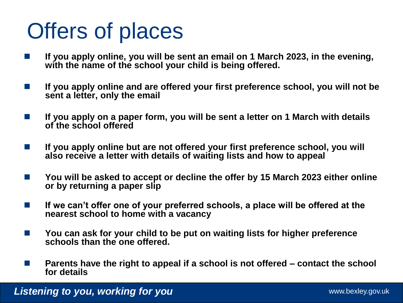# Offers of places

- **If you apply online, you will be sent an email on 1 March 2023, in the evening, with the name of the school your child is being offered.**
- **If you apply online and are offered your first preference school, you will not be sent a letter, only the email**
- **If you apply on a paper form, you will be sent a letter on 1 March with details of the school offered**
- **If you apply online but are not offered your first preference school, you will also receive a letter with details of waiting lists and how to appeal**
- You will be asked to accept or decline the offer by 15 March 2023 either online **or by returning a paper slip**
- **If we can't offer one of your preferred schools, a place will be offered at the nearest school to home with a vacancy**
- You can ask for your child to be put on waiting lists for higher preference **schools than the one offered.**
- Parents have the right to appeal if a school is not offered contact the school **for details**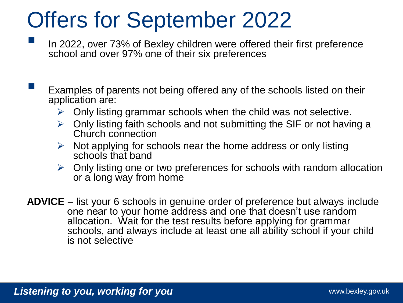### Offers for September 2022

- In 2022, over 73% of Bexley children were offered their first preference school and over 97% one of their six preferences
- Examples of parents not being offered any of the schools listed on their application are:
	- $\triangleright$  Only listing grammar schools when the child was not selective.
	- $\triangleright$  Only listing faith schools and not submitting the SIF or not having a Church connection
	- $\triangleright$  Not applying for schools near the home address or only listing schools that band
	- $\triangleright$  Only listing one or two preferences for schools with random allocation or a long way from home
- **ADVICE**  list your 6 schools in genuine order of preference but always include one near to your home address and one that doesn't use random allocation. Wait for the test results before applying for grammar schools, and always include at least one all ability school if your child is not selective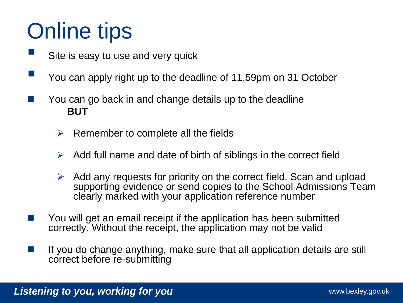# Online tips

- Site is easy to use and very quick
- You can apply right up to the deadline of 11.59pm on 31 October
- You can go back in and change details up to the deadline **BUT**
	- $\triangleright$  Remember to complete all the fields
	- $\triangleright$  Add full name and date of birth of siblings in the correct field
	- $\triangleright$  Add any requests for priority on the correct field. Scan and upload supporting evidence or send copies to the School Admissions Team clearly marked with your application reference number
- You will get an email receipt if the application has been submitted correctly. Without the receipt, the application may not be valid
- If you do change anything, make sure that all application details are still correct before re-submitting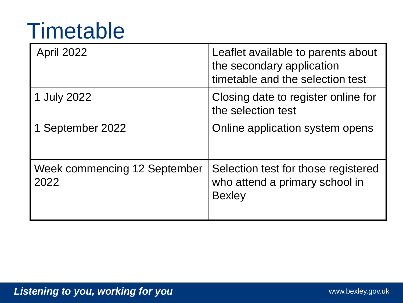## **Timetable**

| <b>April 2022</b>                    | Leaflet available to parents about<br>the secondary application<br>timetable and the selection test |
|--------------------------------------|-----------------------------------------------------------------------------------------------------|
| 1 July 2022                          | Closing date to register online for<br>the selection test                                           |
| 1 September 2022                     | Online application system opens                                                                     |
| Week commencing 12 September<br>2022 | Selection test for those registered<br>who attend a primary school in<br><b>Bexley</b>              |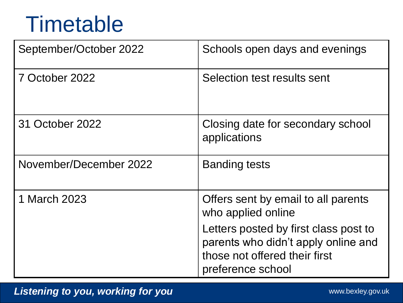### **Timetable**

| September/October 2022 | Schools open days and evenings                                                                                                     |
|------------------------|------------------------------------------------------------------------------------------------------------------------------------|
| 7 October 2022         | Selection test results sent                                                                                                        |
| 31 October 2022        | Closing date for secondary school<br>applications                                                                                  |
| November/December 2022 | <b>Banding tests</b>                                                                                                               |
| 1 March 2023           | Offers sent by email to all parents<br>who applied online                                                                          |
|                        | Letters posted by first class post to<br>parents who didn't apply online and<br>those not offered their first<br>preference school |